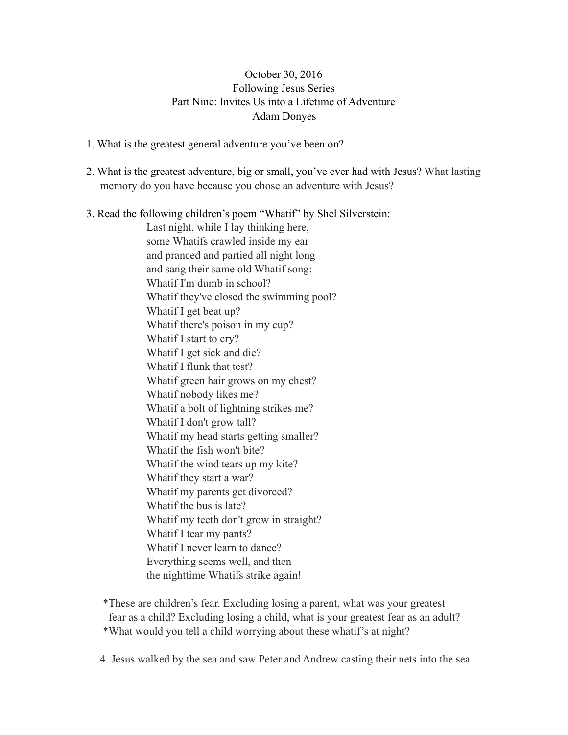## October 30, 2016 Following Jesus Series Part Nine: Invites Us into a Lifetime of Adventure Adam Donyes

- 1. What is the greatest general adventure you've been on?
- 2. What is the greatest adventure, big or small, you've ever had with Jesus? What lasting memory do you have because you chose an adventure with Jesus?
- 3. Read the following children's poem "Whatif" by Shel Silverstein:

Last night, while I lay thinking here, some Whatifs crawled inside my ear and pranced and partied all night long and sang their same old Whatif song: Whatif I'm dumb in school? Whatif they've closed the swimming pool? Whatif I get beat up? Whatif there's poison in my cup? Whatif I start to cry? Whatif I get sick and die? Whatif I flunk that test? Whatif green hair grows on my chest? Whatif nobody likes me? Whatif a bolt of lightning strikes me? Whatif I don't grow tall? Whatif my head starts getting smaller? Whatif the fish won't bite? Whatif the wind tears up my kite? Whatif they start a war? Whatif my parents get divorced? Whatif the bus is late? Whatif my teeth don't grow in straight? Whatif I tear my pants? Whatif I never learn to dance? Everything seems well, and then the nighttime Whatifs strike again!

 \*These are children's fear. Excluding losing a parent, what was your greatest fear as a child? Excluding losing a child, what is your greatest fear as an adult? \*What would you tell a child worrying about these whatif's at night?

4. Jesus walked by the sea and saw Peter and Andrew casting their nets into the sea